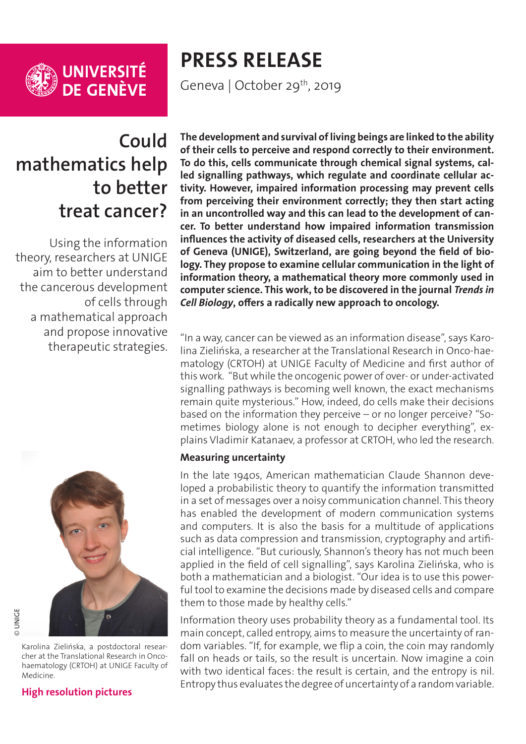

# **PRESS RELEASE**

Geneva | October 29<sup>th</sup>, 2019

## **Could mathematics help to better treat cancer?**

Using the information theory, researchers at UNIGE aim to better understand the cancerous development of cells through a mathematical approach and propose innovative therapeutic strategies.



Karolina Zielińska, a postdoctoral researcher at the Translational Research in Oncohaematology (CRTOH) at UNIGE Faculty of Medicine.

**[High resolution pictures](https://phototheque.unige.ch/documents/facets?newFacet=mot.cle.marc%3DCdP_191021_Katanaev&clearFacets=1)**

**The development and survival of living beings are linked to the ability of their cells to perceive and respond correctly to their environment. To do this, cells communicate through chemical signal systems, called signalling pathways, which regulate and coordinate cellular activity. However, impaired information processing may prevent cells from perceiving their environment correctly; they then start acting in an uncontrolled way and this can lead to the development of cancer. To better understand how impaired information transmission influences the activity of diseased cells, researchers at the University of Geneva (UNIGE), Switzerland, are going beyond the field of biology. They propose to examine cellular communication in the light of information theory, a mathematical theory more commonly used in computer science. This work, to be discovered in the journal** *Trends in Cell Biology***, offers a radically new approach to oncology.**

"In a way, cancer can be viewed as an information disease", says Karolina Zielińska, a researcher at the Translational Research in Onco-haematology (CRTOH) at UNIGE Faculty of Medicine and first author of this work. "But while the oncogenic power of over- or under-activated signalling pathways is becoming well known, the exact mechanisms remain quite mysterious." How, indeed, do cells make their decisions based on the information they perceive – or no longer perceive? "Sometimes biology alone is not enough to decipher everything", explains Vladimir Katanaev, a professor at CRTOH, who led the research.

### **Measuring uncertainty**

In the late 1940s, American mathematician Claude Shannon developed a probabilistic theory to quantify the information transmitted in a set of messages over a noisy communication channel. This theory has enabled the development of modern communication systems and computers. It is also the basis for a multitude of applications such as data compression and transmission, cryptography and artificial intelligence. "But curiously, Shannon's theory has not much been applied in the field of cell signalling", says Karolina Zielińska, who is both a mathematician and a biologist. "Our idea is to use this powerful tool to examine the decisions made by diseased cells and compare them to those made by healthy cells."

Information theory uses probability theory as a fundamental tool. Its main concept, called entropy, aims to measure the uncertainty of random variables. "If, for example, we flip a coin, the coin may randomly fall on heads or tails, so the result is uncertain. Now imagine a coin with two identical faces: the result is certain, and the entropy is nil. Entropy thus evaluates the degree of uncertainty of a random variable.